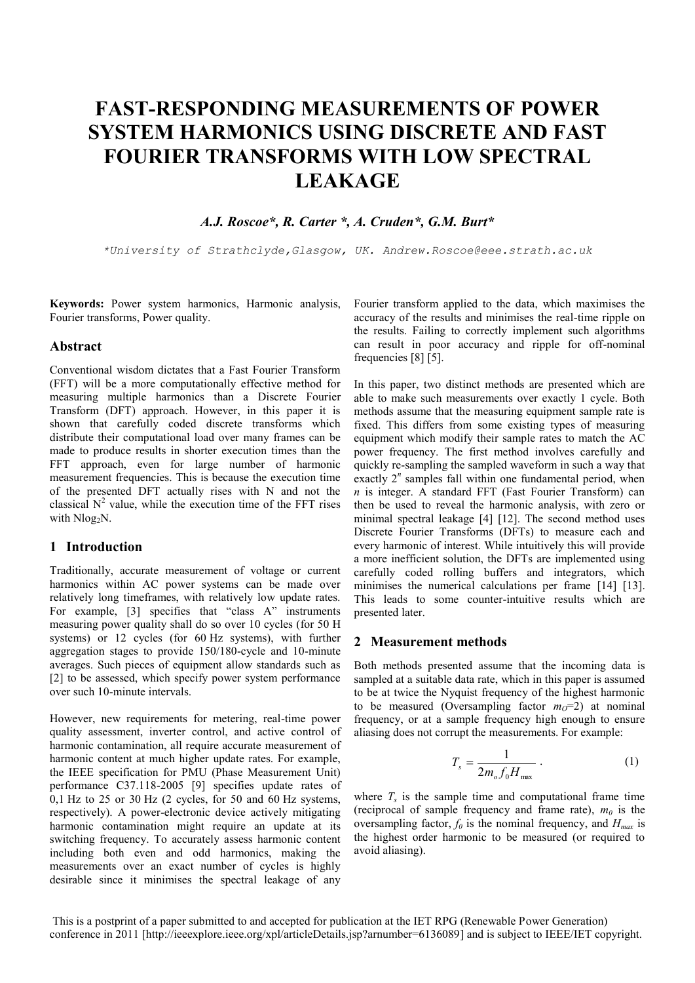# **FAST-RESPONDING MEASUREMENTS OF POWER SYSTEM HARMONICS USING DISCRETE AND FAST FOURIER TRANSFORMS WITH LOW SPECTRAL LEAKAGE**

*A.J. Roscoe\*, R. Carter \*, A. Cruden\*, G.M. Burt\**

*\*University of Strathclyde,Glasgow, UK. Andrew.Roscoe@eee.strath.ac.uk*

**Keywords:** Power system harmonics, Harmonic analysis, Fourier transforms, Power quality.

#### **Abstract**

Conventional wisdom dictates that a Fast Fourier Transform (FFT) will be a more computationally effective method for measuring multiple harmonics than a Discrete Fourier Transform (DFT) approach. However, in this paper it is shown that carefully coded discrete transforms which distribute their computational load over many frames can be made to produce results in shorter execution times than the FFT approach, even for large number of harmonic measurement frequencies. This is because the execution time of the presented DFT actually rises with N and not the classical  $N^2$  value, while the execution time of the FFT rises with Nlog<sub>2</sub>N.

## **1 Introduction**

Traditionally, accurate measurement of voltage or current harmonics within AC power systems can be made over relatively long timeframes, with relatively low update rates. For example, [3] specifies that "class A" instruments measuring power quality shall do so over 10 cycles (for 50 H systems) or 12 cycles (for 60 Hz systems), with further aggregation stages to provide 150/180-cycle and 10-minute averages. Such pieces of equipment allow standards such as [2] to be assessed, which specify power system performance over such 10-minute intervals.

However, new requirements for metering, real-time power quality assessment, inverter control, and active control of harmonic contamination, all require accurate measurement of harmonic content at much higher update rates. For example, the IEEE specification for PMU (Phase Measurement Unit) performance C37.118-2005 [9] specifies update rates of  $0.1$  Hz to 25 or 30 Hz (2 cycles, for 50 and 60 Hz systems, respectively). A power-electronic device actively mitigating harmonic contamination might require an update at its switching frequency. To accurately assess harmonic content including both even and odd harmonics, making the measurements over an exact number of cycles is highly desirable since it minimises the spectral leakage of any

Fourier transform applied to the data, which maximises the accuracy of the results and minimises the real-time ripple on the results. Failing to correctly implement such algorithms can result in poor accuracy and ripple for off-nominal frequencies [8] [5].

In this paper, two distinct methods are presented which are able to make such measurements over exactly 1 cycle. Both methods assume that the measuring equipment sample rate is fixed. This differs from some existing types of measuring equipment which modify their sample rates to match the AC power frequency. The first method involves carefully and quickly re-sampling the sampled waveform in such a way that exactly 2<sup>n</sup> samples fall within one fundamental period, when *n* is integer. A standard FFT (Fast Fourier Transform) can then be used to reveal the harmonic analysis, with zero or minimal spectral leakage [4] [12]. The second method uses Discrete Fourier Transforms (DFTs) to measure each and every harmonic of interest. While intuitively this will provide a more inefficient solution, the DFTs are implemented using carefully coded rolling buffers and integrators, which minimises the numerical calculations per frame [14] [13]. This leads to some counter-intuitive results which are presented later.

#### **2 Measurement methods**

Both methods presented assume that the incoming data is sampled at a suitable data rate, which in this paper is assumed to be at twice the Nyquist frequency of the highest harmonic to be measured (Oversampling factor  $m<sub>O</sub>=2$ ) at nominal frequency, or at a sample frequency high enough to ensure aliasing does not corrupt the measurements. For example:

$$
T_s = \frac{1}{2m_o f_0 H_{\text{max}}} \,. \tag{1}
$$

where  $T_s$  is the sample time and computational frame time (reciprocal of sample frequency and frame rate),  $m_0$  is the oversampling factor,  $f_0$  is the nominal frequency, and  $H_{max}$  is the highest order harmonic to be measured (or required to avoid aliasing).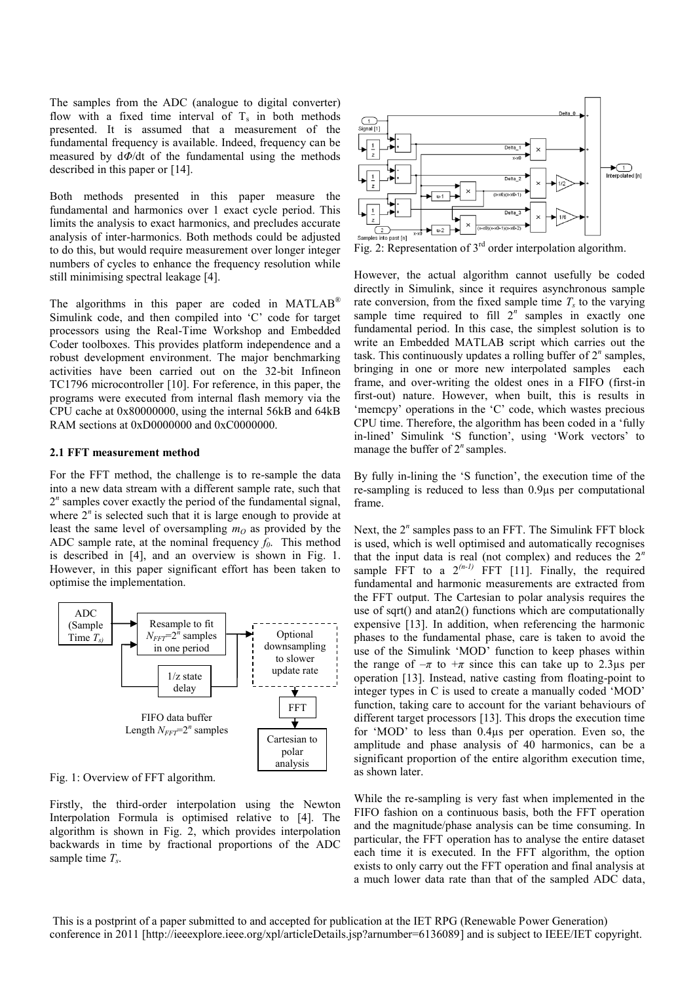The samples from the ADC (analogue to digital converter) flow with a fixed time interval of  $T_s$  in both methods presented. It is assumed that a measurement of the fundamental frequency is available. Indeed, frequency can be measured by d*Φ*/dt of the fundamental using the methods described in this paper or [14].

Both methods presented in this paper measure the fundamental and harmonics over 1 exact cycle period. This limits the analysis to exact harmonics, and precludes accurate analysis of inter-harmonics. Both methods could be adjusted to do this, but would require measurement over longer integer numbers of cycles to enhance the frequency resolution while still minimising spectral leakage [4].

The algorithms in this paper are coded in MATLAB<sup>®</sup> Simulink code, and then compiled into 'C' code for target processors using the Real-Time Workshop and Embedded Coder toolboxes. This provides platform independence and a robust development environment. The major benchmarking activities have been carried out on the 32-bit Infineon TC1796 microcontroller [10]. For reference, in this paper, the programs were executed from internal flash memory via the CPU cache at 0x80000000, using the internal 56kB and 64kB RAM sections at 0xD0000000 and 0xC0000000.

#### **2.1 FFT measurement method**

For the FFT method, the challenge is to re-sample the data into a new data stream with a different sample rate, such that 2<sup>n</sup> samples cover exactly the period of the fundamental signal, where  $2^n$  is selected such that it is large enough to provide at least the same level of oversampling  $m<sub>O</sub>$  as provided by the ADC sample rate, at the nominal frequency *f0*. This method is described in [4], and an overview is shown in Fig. 1. However, in this paper significant effort has been taken to optimise the implementation.



Fig. 1: Overview of FFT algorithm.

Firstly, the third-order interpolation using the Newton Interpolation Formula is optimised relative to [4]. The algorithm is shown in Fig. 2, which provides interpolation backwards in time by fractional proportions of the ADC sample time *T<sup>s</sup>* .



Fig. 2: Representation of  $3<sup>rd</sup>$  order interpolation algorithm.

However, the actual algorithm cannot usefully be coded directly in Simulink, since it requires asynchronous sample rate conversion, from the fixed sample time  $T<sub>s</sub>$  to the varying sample time required to fill 2<sup>n</sup> samples in exactly one fundamental period. In this case, the simplest solution is to write an Embedded MATLAB script which carries out the task. This continuously updates a rolling buffer of 2*<sup>n</sup>* samples, bringing in one or more new interpolated samples each frame, and over-writing the oldest ones in a FIFO (first-in first-out) nature. However, when built, this is results in 'memcpy' operations in the 'C' code, which wastes precious CPU time. Therefore, the algorithm has been coded in a 'fully in-lined' Simulink 'S function', using 'Work vectors' to manage the buffer of 2<sup>n</sup> samples.

By fully in-lining the 'S function', the execution time of the re-sampling is reduced to less than 0.9µs per computational frame.

Next, the 2<sup>n</sup> samples pass to an FFT. The Simulink FFT block is used, which is well optimised and automatically recognises that the input data is real (not complex) and reduces the 2*<sup>n</sup>* sample FFT to a  $2^{(n-1)}$  FFT [11]. Finally, the required fundamental and harmonic measurements are extracted from the FFT output. The Cartesian to polar analysis requires the use of sqrt() and atan2() functions which are computationally expensive [13]. In addition, when referencing the harmonic phases to the fundamental phase, care is taken to avoid the use of the Simulink 'MOD' function to keep phases within the range of  $-\pi$  to  $+\pi$  since this can take up to 2.3 µs per operation [13]. Instead, native casting from floating-point to integer types in C is used to create a manually coded 'MOD' function, taking care to account for the variant behaviours of different target processors [13]. This drops the execution time for 'MOD' to less than 0.4µs per operation. Even so, the amplitude and phase analysis of 40 harmonics, can be a significant proportion of the entire algorithm execution time, as shown later.

While the re-sampling is very fast when implemented in the FIFO fashion on a continuous basis, both the FFT operation and the magnitude/phase analysis can be time consuming. In particular, the FFT operation has to analyse the entire dataset each time it is executed. In the FFT algorithm, the option exists to only carry out the FFT operation and final analysis at a much lower data rate than that of the sampled ADC data,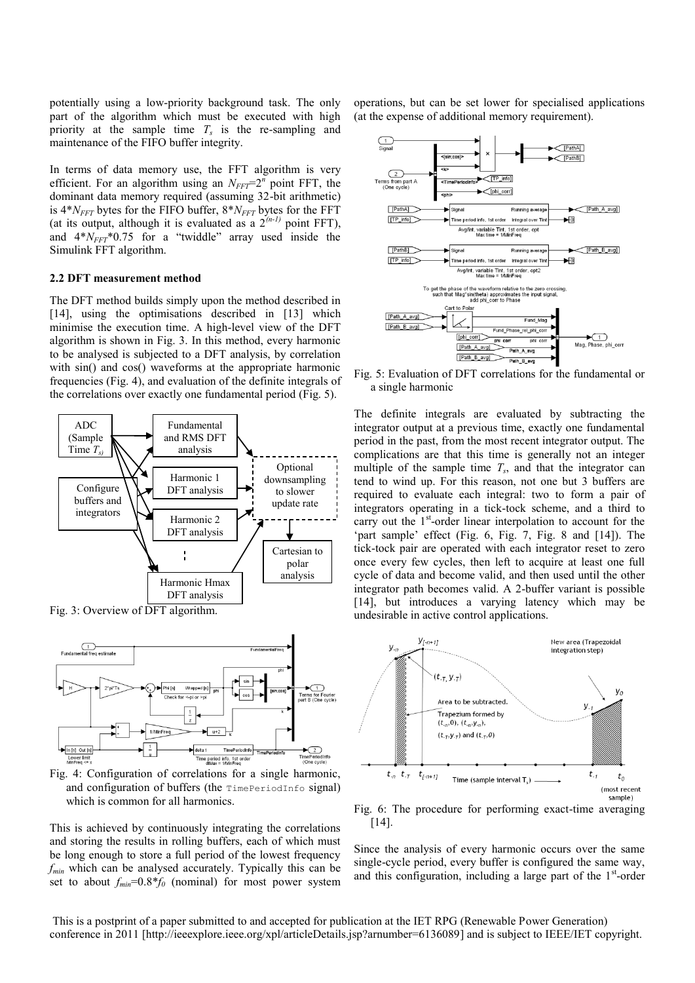potentially using a low-priority background task. The only part of the algorithm which must be executed with high priority at the sample time  $T_s$  is the re-sampling and maintenance of the FIFO buffer integrity.

In terms of data memory use, the FFT algorithm is very efficient. For an algorithm using an  $N_{FFT}=2^n$  point FFT, the dominant data memory required (assuming 32-bit arithmetic) is 4\**NFFT* bytes for the FIFO buffer, 8\**NFFT* bytes for the FFT (at its output, although it is evaluated as a  $2^{(n-1)}$  point FFT), and  $4*N<sub>FFT</sub> * 0.75$  for a "twiddle" array used inside the Simulink FFT algorithm.

#### **2.2 DFT measurement method**

The DFT method builds simply upon the method described in [14], using the optimisations described in [13] which minimise the execution time. A high-level view of the DFT algorithm is shown in Fig. 3. In this method, every harmonic to be analysed is subjected to a DFT analysis, by correlation with sin() and cos() waveforms at the appropriate harmonic frequencies (Fig. 4), and evaluation of the definite integrals of the correlations over exactly one fundamental period (Fig. 5).



Fig. 3: Overview of DFT algorithm.



Fig. 4: Configuration of correlations for a single harmonic, and configuration of buffers (the TimePeriodInfo signal) which is common for all harmonics.

This is achieved by continuously integrating the correlations and storing the results in rolling buffers, each of which must be long enough to store a full period of the lowest frequency *fmin* which can be analysed accurately. Typically this can be set to about  $f_{min}=0.8*$  *f*<sub>0</sub> (nominal) for most power system

operations, but can be set lower for specialised applications (at the expense of additional memory requirement).



Fig. 5: Evaluation of DFT correlations for the fundamental or a single harmonic

The definite integrals are evaluated by subtracting the integrator output at a previous time, exactly one fundamental period in the past, from the most recent integrator output. The complications are that this time is generally not an integer multiple of the sample time  $T_s$ , and that the integrator can tend to wind up. For this reason, not one but 3 buffers are required to evaluate each integral: two to form a pair of integrators operating in a tick-tock scheme, and a third to carry out the 1<sup>st</sup>-order linear interpolation to account for the 'part sample' effect (Fig. 6, Fig. 7, Fig. 8 and [14]). The tick-tock pair are operated with each integrator reset to zero once every few cycles, then left to acquire at least one full cycle of data and become valid, and then used until the other integrator path becomes valid. A 2-buffer variant is possible [14], but introduces a varying latency which may be undesirable in active control applications.



Fig. 6: The procedure for performing exact-time averaging [14].

Since the analysis of every harmonic occurs over the same single-cycle period, every buffer is configured the same way, and this configuration, including a large part of the 1<sup>st</sup>-order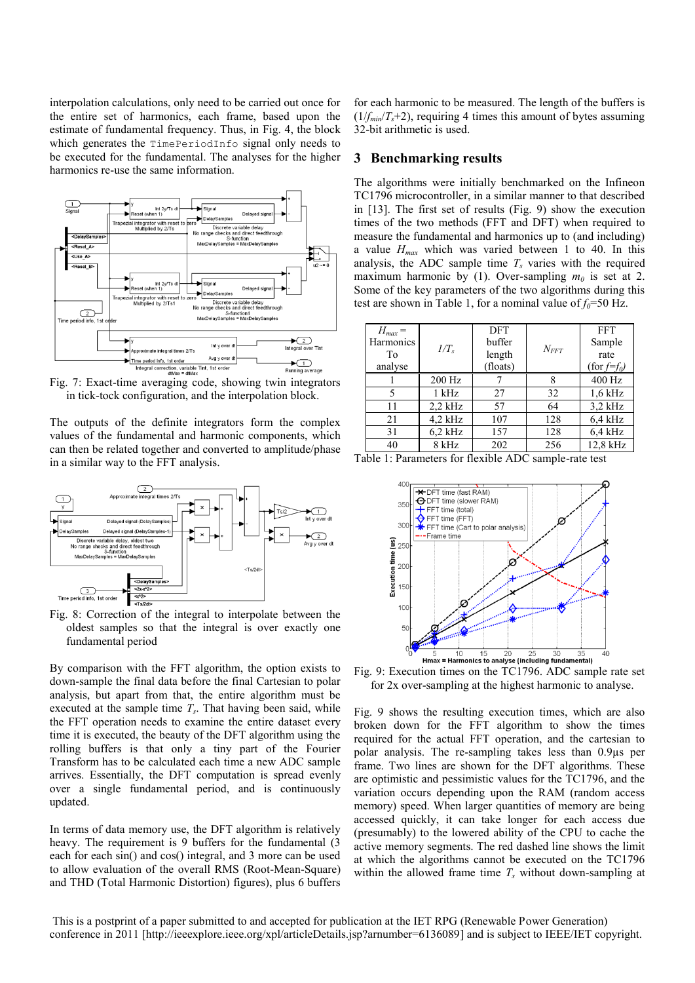interpolation calculations, only need to be carried out once for the entire set of harmonics, each frame, based upon the estimate of fundamental frequency. Thus, in Fig. 4, the block which generates the TimePeriodInfo signal only needs to be executed for the fundamental. The analyses for the higher harmonics re-use the same information.



Fig. 7: Exact-time averaging code, showing twin integrators in tick-tock configuration, and the interpolation block.

The outputs of the definite integrators form the complex values of the fundamental and harmonic components, which can then be related together and converted to amplitude/phase in a similar way to the FFT analysis.



oldest samples so that the integral is over exactly one fundamental period

By comparison with the FFT algorithm, the option exists to down-sample the final data before the final Cartesian to polar analysis, but apart from that, the entire algorithm must be executed at the sample time *T<sup>s</sup>* . That having been said, while the FFT operation needs to examine the entire dataset every time it is executed, the beauty of the DFT algorithm using the rolling buffers is that only a tiny part of the Fourier Transform has to be calculated each time a new ADC sample arrives. Essentially, the DFT computation is spread evenly over a single fundamental period, and is continuously updated.

In terms of data memory use, the DFT algorithm is relatively heavy. The requirement is 9 buffers for the fundamental (3) each for each sin() and cos() integral, and 3 more can be used to allow evaluation of the overall RMS (Root-Mean-Square) and THD (Total Harmonic Distortion) figures), plus 6 buffers

for each harmonic to be measured. The length of the buffers is  $(1/f_{min}/T_s+2)$ , requiring 4 times this amount of bytes assuming 32-bit arithmetic is used.

#### **3 Benchmarking results**

The algorithms were initially benchmarked on the Infineon TC1796 microcontroller, in a similar manner to that described in [13]. The first set of results (Fig. 9) show the execution times of the two methods (FFT and DFT) when required to measure the fundamental and harmonics up to (and including) a value *Hmax* which was varied between 1 to 40. In this analysis, the ADC sample time  $T<sub>s</sub>$  varies with the required maximum harmonic by (1). Over-sampling  $m_0$  is set at 2. Some of the key parameters of the two algorithms during this test are shown in Table 1, for a nominal value of  $f_0$ =50 Hz.

| $H_{max} =$<br>Harmonics<br>To<br>analyse | $1/T_s$   | <b>DFT</b><br>buffer<br>length<br>(floats) | $N_{FFT}$ | <b>FFT</b><br>Sample<br>rate<br>$(for f=f_0)$ |
|-------------------------------------------|-----------|--------------------------------------------|-----------|-----------------------------------------------|
|                                           | 200 Hz    |                                            | 8         | 400 Hz                                        |
| 5                                         | $1$ kHz   | 27                                         | 32        | $1.6$ kHz                                     |
| 11                                        | $2,2$ kHz | 57                                         | 64        | $3,2$ kHz                                     |
| 21                                        | $4,2$ kHz | 107                                        | 128       | $6,4$ kHz                                     |
| 31                                        | $6.2$ kHz | 157                                        | 128       | $6.4$ kHz                                     |
| 40                                        | 8 kHz     | 202                                        | 256       | 12,8 kHz                                      |





Fig. 9: Execution times on the TC1796. ADC sample rate set for 2x over-sampling at the highest harmonic to analyse.

Fig. 9 shows the resulting execution times, which are also broken down for the FFT algorithm to show the times required for the actual FFT operation, and the cartesian to polar analysis. The re-sampling takes less than 0.9µs per frame. Two lines are shown for the DFT algorithms. These are optimistic and pessimistic values for the TC1796, and the variation occurs depending upon the RAM (random access memory) speed. When larger quantities of memory are being accessed quickly, it can take longer for each access due (presumably) to the lowered ability of the CPU to cache the active memory segments. The red dashed line shows the limit at which the algorithms cannot be executed on the TC1796 within the allowed frame time *T<sup>s</sup>* without down-sampling at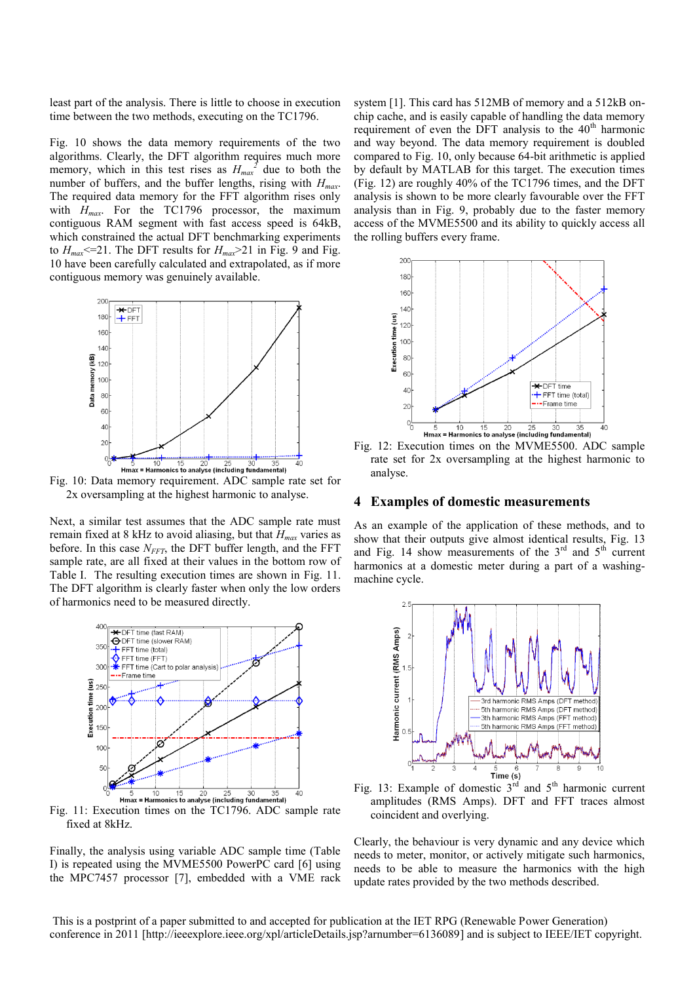least part of the analysis. There is little to choose in execution time between the two methods, executing on the TC1796.

Fig. 10 shows the data memory requirements of the two algorithms. Clearly, the DFT algorithm requires much more memory, which in this test rises as  $H_{max}^2$  due to both the number of buffers, and the buffer lengths, rising with  $H_{max}$ . The required data memory for the FFT algorithm rises only with *Hmax*. For the TC1796 processor, the maximum contiguous RAM segment with fast access speed is 64kB, which constrained the actual DFT benchmarking experiments to  $H_{max} \leq 21$ . The DFT results for  $H_{max} \geq 21$  in Fig. 9 and Fig. 10 have been carefully calculated and extrapolated, as if more contiguous memory was genuinely available.



Fig. 10: Data memory requirement. ADC sample rate set for 2x oversampling at the highest harmonic to analyse.

Next, a similar test assumes that the ADC sample rate must remain fixed at 8 kHz to avoid aliasing, but that *Hmax* varies as before. In this case  $N<sub>FFT</sub>$ , the DFT buffer length, and the FFT sample rate, are all fixed at their values in the bottom row of Table I. The resulting execution times are shown in Fig. 11. The DFT algorithm is clearly faster when only the low orders of harmonics need to be measured directly.



Fig. 11: Execution times on the TC1796. ADC sample rate fixed at 8kHz.

Finally, the analysis using variable ADC sample time (Table I) is repeated using the MVME5500 PowerPC card [6] using the MPC7457 processor [7], embedded with a VME rack

system [1]. This card has 512MB of memory and a 512kB onchip cache, and is easily capable of handling the data memory requirement of even the DFT analysis to the  $40<sup>th</sup>$  harmonic and way beyond. The data memory requirement is doubled compared to Fig. 10, only because 64-bit arithmetic is applied by default by MATLAB for this target. The execution times (Fig. 12) are roughly 40% of the TC1796 times, and the DFT analysis is shown to be more clearly favourable over the FFT analysis than in Fig. 9, probably due to the faster memory access of the MVME5500 and its ability to quickly access all the rolling buffers every frame.



Fig. 12: Execution times on the MVME5500. ADC sample rate set for 2x oversampling at the highest harmonic to analyse.

#### **4 Examples of domestic measurements**

As an example of the application of these methods, and to show that their outputs give almost identical results, Fig. 13 and Fig. 14 show measurements of the  $3<sup>rd</sup>$  and  $5<sup>th</sup>$  current harmonics at a domestic meter during a part of a washingmachine cycle.



amplitudes (RMS Amps). DFT and FFT traces almost coincident and overlying.

Clearly, the behaviour is very dynamic and any device which needs to meter, monitor, or actively mitigate such harmonics, needs to be able to measure the harmonics with the high update rates provided by the two methods described.